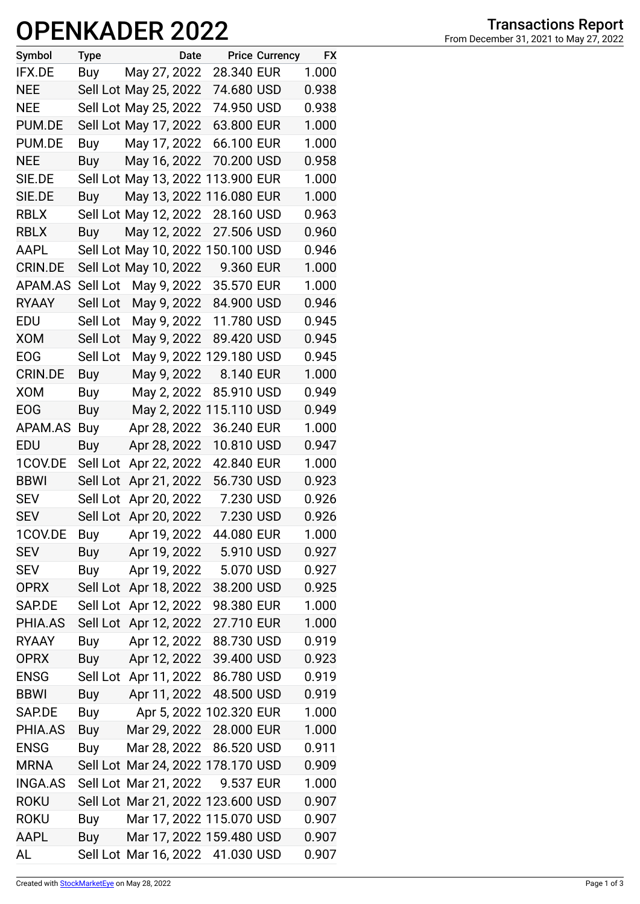## **OPENKADER 2022**

| Symbol         | <b>Type</b> |                       | Date |                                   | <b>Price Currency</b> | <b>FX</b> |
|----------------|-------------|-----------------------|------|-----------------------------------|-----------------------|-----------|
| IFX.DE         | Buy         | May 27, 2022          |      | 28.340 EUR                        |                       | 1.000     |
| <b>NEE</b>     |             | Sell Lot May 25, 2022 |      | 74.680 USD                        |                       | 0.938     |
| <b>NEE</b>     |             | Sell Lot May 25, 2022 |      | 74.950 USD                        |                       | 0.938     |
| PUM.DE         |             | Sell Lot May 17, 2022 |      | 63.800 EUR                        |                       | 1.000     |
| PUM.DE         | Buy         | May 17, 2022          |      | 66.100 EUR                        |                       | 1.000     |
| <b>NEE</b>     | <b>Buy</b>  | May 16, 2022          |      | 70.200 USD                        |                       | 0.958     |
| SIE.DE         |             |                       |      | Sell Lot May 13, 2022 113.900 EUR |                       | 1.000     |
| SIE.DE         | Buy         |                       |      | May 13, 2022 116.080 EUR          |                       | 1.000     |
| <b>RBLX</b>    |             | Sell Lot May 12, 2022 |      | 28.160 USD                        |                       | 0.963     |
| <b>RBLX</b>    | <b>Buy</b>  | May 12, 2022          |      | 27.506 USD                        |                       | 0.960     |
| AAPL           |             |                       |      | Sell Lot May 10, 2022 150.100 USD |                       | 0.946     |
| <b>CRIN.DE</b> |             | Sell Lot May 10, 2022 |      | 9.360 EUR                         |                       | 1.000     |
| APAM.AS        | Sell Lot    | May 9, 2022           |      | 35.570 EUR                        |                       | 1.000     |
| <b>RYAAY</b>   | Sell Lot    | May 9, 2022           |      | 84.900 USD                        |                       | 0.946     |
| EDU            | Sell Lot    | May 9, 2022           |      | 11.780 USD                        |                       | 0.945     |
| <b>XOM</b>     | Sell Lot    | May 9, 2022           |      | 89.420 USD                        |                       | 0.945     |
| <b>EOG</b>     | Sell Lot    |                       |      | May 9, 2022 129.180 USD           |                       | 0.945     |
| <b>CRIN.DE</b> | Buy         | May 9, 2022           |      | 8.140 EUR                         |                       | 1.000     |
| <b>XOM</b>     | Buy         | May 2, 2022           |      | 85.910 USD                        |                       | 0.949     |
| <b>EOG</b>     | Buy         |                       |      | May 2, 2022 115.110 USD           |                       | 0.949     |
| APAM.AS        | Buy         | Apr 28, 2022          |      | 36.240 EUR                        |                       | 1.000     |
| EDU            | Buy         | Apr 28, 2022          |      | 10.810 USD                        |                       | 0.947     |
| 1COV.DE        | Sell Lot    | Apr 22, 2022          |      | 42.840 EUR                        |                       | 1.000     |
| <b>BBWI</b>    | Sell Lot    | Apr 21, 2022          |      | 56.730 USD                        |                       | 0.923     |
| <b>SEV</b>     | Sell Lot    | Apr 20, 2022          |      | 7.230 USD                         |                       | 0.926     |
| <b>SEV</b>     | Sell Lot    | Apr 20, 2022          |      | 7.230 USD                         |                       | 0.926     |
| 1COV.DE        | <b>Buy</b>  | Apr 19, 2022          |      | 44.080 EUR                        |                       | 1.000     |
| <b>SEV</b>     | Buy         | Apr 19, 2022          |      | 5.910 USD                         |                       | 0.927     |
| <b>SEV</b>     | Buy         | Apr 19, 2022          |      | 5.070 USD                         |                       | 0.927     |
| <b>OPRX</b>    | Sell Lot    | Apr 18, 2022          |      | 38.200 USD                        |                       | 0.925     |
| SAP.DE         | Sell Lot    | Apr 12, 2022          |      | 98.380 EUR                        |                       | 1.000     |
| PHIA.AS        | Sell Lot    | Apr 12, 2022          |      | 27.710 EUR                        |                       | 1.000     |
| <b>RYAAY</b>   | <b>Buy</b>  | Apr 12, 2022          |      | 88.730 USD                        |                       | 0.919     |
| <b>OPRX</b>    | Buy         | Apr 12, 2022          |      | 39.400 USD                        |                       | 0.923     |
| <b>ENSG</b>    | Sell Lot    | Apr 11, 2022          |      | 86.780 USD                        |                       | 0.919     |
| <b>BBWI</b>    | Buy         | Apr 11, 2022          |      | 48.500 USD                        |                       | 0.919     |
| SAP.DE         | Buy         |                       |      | Apr 5, 2022 102.320 EUR           |                       | 1.000     |
| PHIA.AS        | Buy         | Mar 29, 2022          |      | 28.000 EUR                        |                       | 1.000     |
| <b>ENSG</b>    | <b>Buy</b>  | Mar 28, 2022          |      | 86.520 USD                        |                       | 0.911     |
| <b>MRNA</b>    |             |                       |      | Sell Lot Mar 24, 2022 178.170 USD |                       | 0.909     |
| INGA.AS        |             | Sell Lot Mar 21, 2022 |      | 9.537 EUR                         |                       | 1.000     |
| <b>ROKU</b>    |             |                       |      | Sell Lot Mar 21, 2022 123.600 USD |                       | 0.907     |
| <b>ROKU</b>    | Buy         |                       |      | Mar 17, 2022 115.070 USD          |                       | 0.907     |
| AAPL           | Buy         |                       |      | Mar 17, 2022 159.480 USD          |                       | 0.907     |
| AL             |             |                       |      | Sell Lot Mar 16, 2022 41.030 USD  |                       | 0.907     |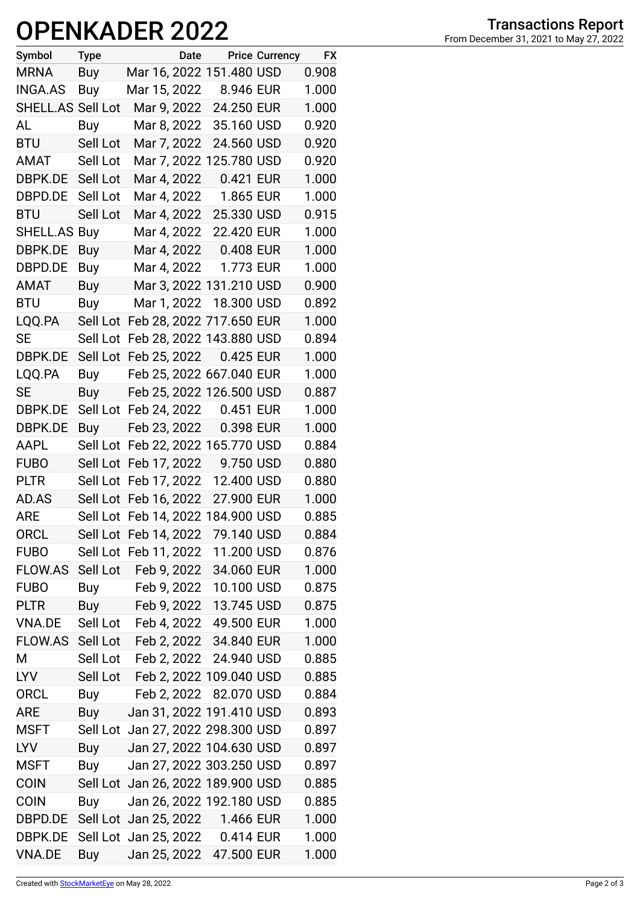## **OPENKADER 2022**

| Symbol                                  | <b>Type</b> |                                   | Date |                        | <b>Price Currency</b> | <b>FX</b> |
|-----------------------------------------|-------------|-----------------------------------|------|------------------------|-----------------------|-----------|
| <b>MRNA</b>                             | Buy         | Mar 16, 2022 151.480 USD          |      |                        |                       | 0.908     |
| <b>INGA.AS</b>                          | Buy         | Mar 15, 2022                      |      | 8.946 EUR              |                       | 1.000     |
| SHELL.AS Sell Lot                       |             | Mar 9, 2022                       |      | 24.250 EUR             |                       | 1.000     |
| AL                                      | Buy         | Mar 8, 2022                       |      | 35.160 USD             |                       | 0.920     |
| <b>BTU</b>                              | Sell Lot    | Mar 7, 2022                       |      | 24.560 USD             |                       | 0.920     |
| AMAT                                    | Sell Lot    | Mar 7, 2022 125.780 USD           |      |                        |                       | 0.920     |
| DBPK.DE                                 | Sell Lot    | Mar 4, 2022                       |      | 0.421 EUR              |                       | 1.000     |
| DBPD.DE                                 | Sell Lot    | Mar 4, 2022                       |      | 1.865 EUR              |                       | 1.000     |
| <b>BTU</b>                              | Sell Lot    | Mar 4, 2022                       |      | 25.330 USD             |                       | 0.915     |
| SHELL.AS Buy                            |             | Mar 4, 2022                       |      | 22.420 EUR             |                       | 1.000     |
| DBPK.DE                                 | Buy         | Mar 4, 2022                       |      | 0.408 EUR              |                       | 1.000     |
| DBPD.DE                                 | <b>Buy</b>  | Mar 4, 2022                       |      | 1.773 EUR              |                       | 1.000     |
| AMAT                                    | Buy         | Mar 3, 2022 131.210 USD           |      |                        |                       | 0.900     |
| <b>BTU</b>                              | Buy         | Mar 1, 2022 18.300 USD            |      |                        |                       | 0.892     |
| LQQ.PA                                  | Sell Lot    | Feb 28, 2022 717.650 EUR          |      |                        |                       | 1.000     |
| SE                                      | Sell Lot    | Feb 28, 2022 143.880 USD          |      |                        |                       | 0.894     |
| DBPK.DE                                 | Sell Lot    | Feb 25, 2022                      |      | 0.425 EUR              |                       | 1.000     |
| LQQ.PA                                  | Buy         | Feb 25, 2022 667.040 EUR          |      |                        |                       | 1.000     |
| SE                                      | <b>Buy</b>  | Feb 25, 2022 126.500 USD          |      |                        |                       | 0.887     |
| DBPK.DE                                 | Sell Lot    | Feb 24, 2022                      |      | 0.451 EUR              |                       | 1.000     |
| DBPK.DE                                 | Buy         | Feb 23, 2022                      |      | 0.398 EUR              |                       | 1.000     |
| AAPL                                    | Sell Lot    | Feb 22, 2022 165.770 USD          |      |                        |                       | 0.884     |
| <b>FUBO</b>                             | Sell Lot    | Feb 17, 2022                      |      | 9.750 USD              |                       | 0.880     |
| <b>PLTR</b>                             | Sell Lot    | Feb 17, 2022                      |      | 12.400 USD             |                       | 0.880     |
| AD.AS                                   | Sell Lot    | Feb 16, 2022                      |      | 27.900 EUR             |                       | 1.000     |
| <b>ARE</b>                              |             | Sell Lot Feb 14, 2022 184.900 USD |      |                        |                       | 0.885     |
| <b>ORCL</b>                             |             | Sell Lot Feb 14, 2022 79.140 USD  |      |                        |                       | 0.884     |
| <b>FUBO</b>                             |             | Sell Lot Feb 11, 2022 11.200 USD  |      |                        |                       | 0.876     |
| <b>FLOW.AS</b>                          | Sell Lot    |                                   |      | Feb 9, 2022 34.060 EUR |                       | 1.000     |
| <b>FUBO</b>                             | Buy         | Feb 9, 2022 10.100 USD            |      |                        |                       | 0.875     |
| <b>PLTR</b>                             | Buy         | Feb 9, 2022 13.745 USD            |      |                        |                       | 0.875     |
| VNA.DE                                  |             | Sell Lot Feb 4, 2022 49.500 EUR   |      |                        |                       | 1.000     |
| FLOW.AS Sell Lot Feb 2, 2022 34.840 EUR |             |                                   |      |                        |                       | 1.000     |
| M                                       |             | Sell Lot Feb 2, 2022 24.940 USD   |      |                        |                       | 0.885     |
| <b>LYV</b>                              | Sell Lot    | Feb 2, 2022 109.040 USD           |      |                        |                       | 0.885     |
| ORCL                                    | Buy         |                                   |      | Feb 2, 2022 82.070 USD |                       | 0.884     |
| <b>ARE</b>                              | Buy         | Jan 31, 2022 191.410 USD          |      |                        |                       | 0.893     |
| MSFT                                    |             | Sell Lot Jan 27, 2022 298.300 USD |      |                        |                       | 0.897     |
| <b>LYV</b>                              | Buy         | Jan 27, 2022 104.630 USD          |      |                        |                       | 0.897     |
| <b>MSFT</b>                             | Buy         | Jan 27, 2022 303.250 USD          |      |                        |                       | 0.897     |
| <b>COIN</b>                             |             | Sell Lot Jan 26, 2022 189.900 USD |      |                        |                       | 0.885     |
| <b>COIN</b>                             | Buy         | Jan 26, 2022 192.180 USD          |      |                        |                       | 0.885     |
| DBPD.DE                                 |             | Sell Lot Jan 25, 2022 1.466 EUR   |      |                        |                       | 1.000     |
| DBPK.DE                                 |             | Sell Lot Jan 25, 2022 0.414 EUR   |      |                        |                       | 1.000     |
| <b>VNA.DE</b>                           | Buy         | Jan 25, 2022 47.500 EUR           |      |                        |                       | 1.000     |